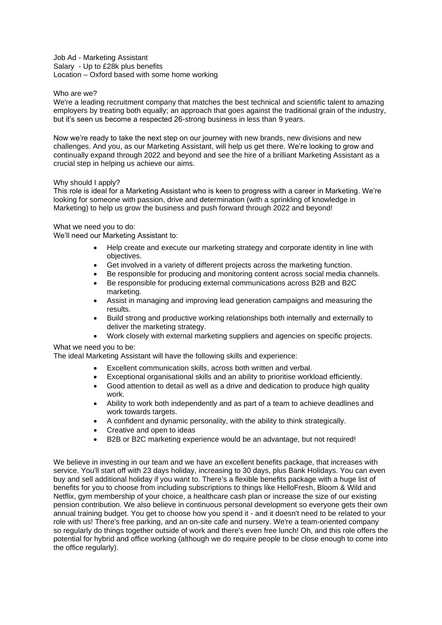Job Ad - Marketing Assistant Salary - Up to £28k plus benefits Location – Oxford based with some home working

## Who are we?

We're a leading recruitment company that matches the best technical and scientific talent to amazing employers by treating both equally; an approach that goes against the traditional grain of the industry, but it's seen us become a respected 26-strong business in less than 9 years.

Now we're ready to take the next step on our journey with new brands, new divisions and new challenges. And you, as our Marketing Assistant, will help us get there. We're looking to grow and continually expand through 2022 and beyond and see the hire of a brilliant Marketing Assistant as a crucial step in helping us achieve our aims.

## Why should I apply?

This role is ideal for a Marketing Assistant who is keen to progress with a career in Marketing. We're looking for someone with passion, drive and determination (with a sprinkling of knowledge in Marketing) to help us grow the business and push forward through 2022 and beyond!

What we need you to do:

We'll need our Marketing Assistant to:

- Help create and execute our marketing strategy and corporate identity in line with objectives.
- Get involved in a variety of different projects across the marketing function.
- Be responsible for producing and monitoring content across social media channels.
- Be responsible for producing external communications across B2B and B2C marketing.
- Assist in managing and improving lead generation campaigns and measuring the results.
- Build strong and productive working relationships both internally and externally to deliver the marketing strategy.
- Work closely with external marketing suppliers and agencies on specific projects.

## What we need you to be:

The ideal Marketing Assistant will have the following skills and experience:

- Excellent communication skills, across both written and verbal.
- Exceptional organisational skills and an ability to prioritise workload efficiently.
- Good attention to detail as well as a drive and dedication to produce high quality work.
- Ability to work both independently and as part of a team to achieve deadlines and work towards targets.
- A confident and dynamic personality, with the ability to think strategically.
- Creative and open to ideas
- B2B or B2C marketing experience would be an advantage, but not required!

We believe in investing in our team and we have an excellent benefits package, that increases with service. You'll start off with 23 days holiday, increasing to 30 days, plus Bank Holidays. You can even buy and sell additional holiday if you want to. There's a flexible benefits package with a huge list of benefits for you to choose from including subscriptions to things like HelloFresh, Bloom & Wild and Netflix, gym membership of your choice, a healthcare cash plan or increase the size of our existing pension contribution. We also believe in continuous personal development so everyone gets their own annual training budget. You get to choose how you spend it - and it doesn't need to be related to your role with us! There's free parking, and an on-site cafe and nursery. We're a team-oriented company so regularly do things together outside of work and there's even free lunch! Oh, and this role offers the potential for hybrid and office working (although we do require people to be close enough to come into the office regularly).